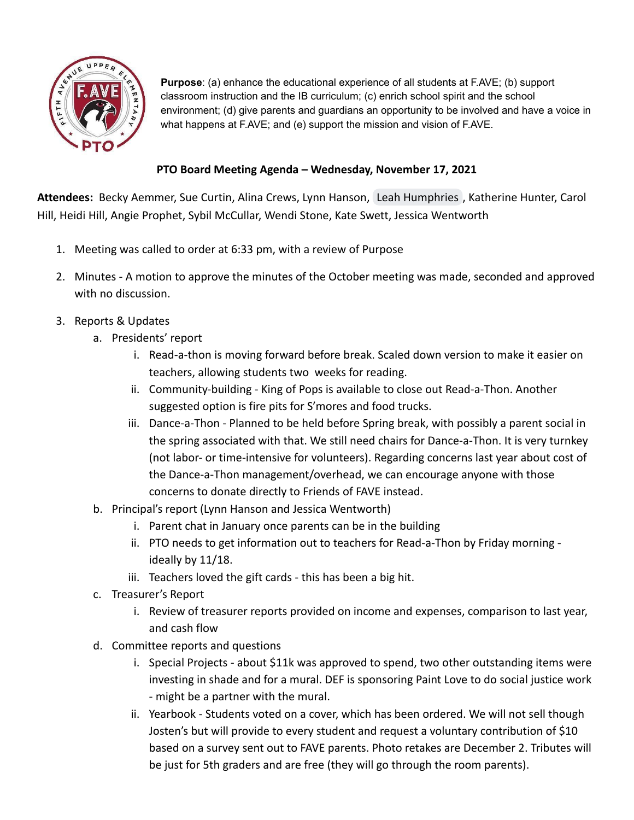

**Purpose**: (a) enhance the educational experience of all students at F.AVE; (b) support classroom instruction and the IB curriculum; (c) enrich school spirit and the school environment; (d) give parents and guardians an opportunity to be involved and have a voice in what happens at F.AVE; and (e) support the mission and vision of F.AVE.

## **PTO Board Meeting Agenda – Wednesday, November 17, 2021**

**Attendees:** Becky Aemmer, Sue Curtin, Alina Crews, Lynn Hanson, [Leah Humphries](mailto:lhumphries@theberkshirefoundation.org) , Katherine Hunter, Carol Hill, Heidi Hill, Angie Prophet, Sybil McCullar, Wendi Stone, Kate Swett, Jessica Wentworth

- 1. Meeting was called to order at 6:33 pm, with a review of Purpose
- 2. Minutes A motion to approve the minutes of the October meeting was made, seconded and approved with no discussion.
- 3. Reports & Updates
	- a. Presidents' report
		- i. Read-a-thon is moving forward before break. Scaled down version to make it easier on teachers, allowing students two weeks for reading.
		- ii. Community-building King of Pops is available to close out Read-a-Thon. Another suggested option is fire pits for S'mores and food trucks.
		- iii. Dance-a-Thon Planned to be held before Spring break, with possibly a parent social in the spring associated with that. We still need chairs for Dance-a-Thon. It is very turnkey (not labor- or time-intensive for volunteers). Regarding concerns last year about cost of the Dance-a-Thon management/overhead, we can encourage anyone with those concerns to donate directly to Friends of FAVE instead.
	- b. Principal's report (Lynn Hanson and Jessica Wentworth)
		- i. Parent chat in January once parents can be in the building
		- ii. PTO needs to get information out to teachers for Read-a-Thon by Friday morning ideally by 11/18.
		- iii. Teachers loved the gift cards this has been a big hit.
	- c. Treasurer's Report
		- i. Review of treasurer reports provided on income and expenses, comparison to last year, and cash flow
	- d. Committee reports and questions
		- i. Special Projects about \$11k was approved to spend, two other outstanding items were investing in shade and for a mural. DEF is sponsoring Paint Love to do social justice work - might be a partner with the mural.
		- ii. Yearbook Students voted on a cover, which has been ordered. We will not sell though Josten's but will provide to every student and request a voluntary contribution of \$10 based on a survey sent out to FAVE parents. Photo retakes are December 2. Tributes will be just for 5th graders and are free (they will go through the room parents).